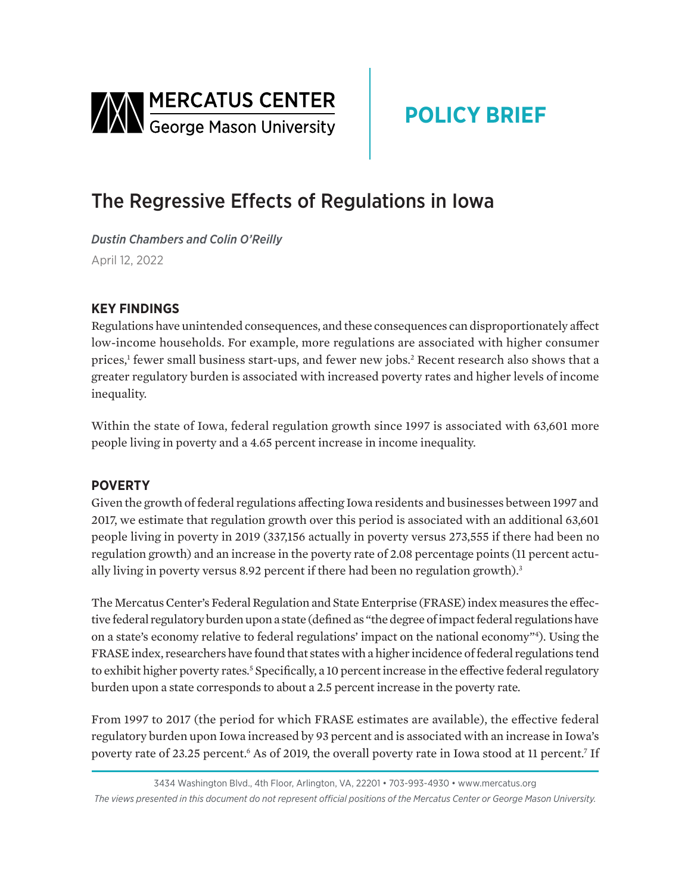<span id="page-0-0"></span>

# **POLICY BRIEF**

## The Regressive Effects of Regulations in Iowa

*Dustin Chambers and Colin O'Reilly*  April 12, 2022

### **KEY FINDINGS**

Regulations have unintended consequences, and these consequences can disproportionately affect low-income households. For example, more regulations are associated with higher consumer prices,<sup>[1](#page-2-0)</sup> fewer small business start-ups, and fewer new jobs.<sup>[2](#page-2-0)</sup> Recent research also shows that a greater regulatory burden is associated with increased poverty rates and higher levels of income inequality.

Within the state of Iowa, federal regulation growth since 1997 is associated with 63,601 more people living in poverty and a 4.65 percent increase in income inequality.

#### **POVERTY**

Given the growth of federal regulations affecting Iowa residents and businesses between 1997 and 2017, we estimate that regulation growth over this period is associated with an additional 63,601 people living in poverty in 2019 (337,156 actually in poverty versus 273,555 if there had been no regulation growth) and an increase in the poverty rate of 2.08 percentage points (11 percent actu-ally living in poverty versus 8.92 percent if there had been no regulation growth).<sup>[3](#page-2-0)</sup>

The Mercatus Center's Federal Regulation and State Enterprise (FRASE) index measures the effective federal regulatory burden upon a state (defined as "the degree of impact federal regulations have on a state's economy relative to federal regulations' impact on the national economy["4](#page-2-0) ). Using the FRASE index, researchers have found that states with a higher incidence of federal regulations tend to exhibit higher poverty rates.<sup>5</sup> Specifically, a 10 percent increase in the effective federal regulatory burden upon a state corresponds to about a 2.5 percent increase in the poverty rate.

From 1997 to 2017 (the period for which FRASE estimates are available), the effective federal regulatory burden upon Iowa increased by 93 percent and is associated with an increase in Iowa's poverty rate of 23.25 percent.<sup>[6](#page-2-0)</sup> As of 2019, the overall poverty rate in Iowa stood at 11 percent.<sup>7</sup> If

<sup>3434</sup> Washington Blvd., 4th Floor, Arlington, VA, 22201 • 703-993-4930 • www.mercatus.org *The views presented in this document do not represent official positions of the Mercatus Center or George Mason University.*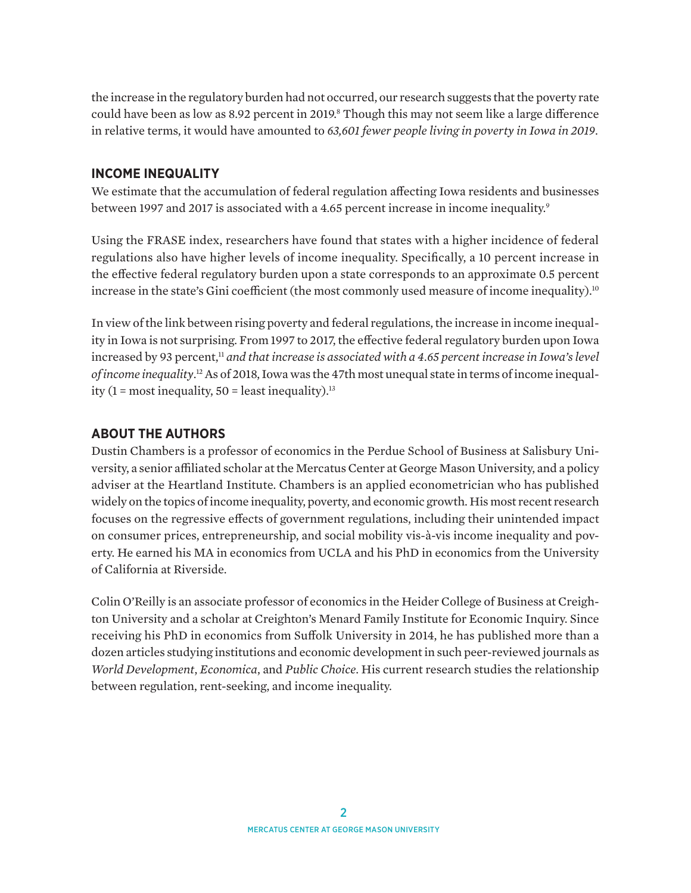<span id="page-1-0"></span>the increase in the regulatory burden had not occurred, our research suggests that the poverty rate could have been as low as 8.92 percent in 2019.<sup>8</sup> Though this may not seem like a large difference in relative terms, it would have amounted to *63,601 fewer people living in poverty in Iowa in 2019*.

#### **INCOME INEQUALITY**

We estimate that the accumulation of federal regulation affecting Iowa residents and businesses between 1[9](#page-2-0)97 and 2017 is associated with a 4.65 percent increase in income inequality.<sup>9</sup>

Using the FRASE index, researchers have found that states with a higher incidence of federal regulations also have higher levels of income inequality. Specifically, a 10 percent increase in the effective federal regulatory burden upon a state corresponds to an approximate 0.5 percent increase in the state's Gini coefficient (the most commonly used measure of income inequality).<sup>[10](#page-2-0)</sup>

In view of the link between rising poverty and federal regulations, the increase in income inequality in Iowa is not surprising. From 1997 to 2017, the effective federal regulatory burden upon Iowa increased by 93 percent,<sup>[11](#page-2-0)</sup> and that increase is associated with a 4.65 percent increase in Iowa's level *of income inequality*. [12](#page-2-0) As of 2018, Iowa was the 47th most unequal state in terms of income inequality (1 = most inequality,  $50$  = least inequality).<sup>[13](#page-2-0)</sup>

#### **ABOUT THE AUTHORS**

Dustin Chambers is a professor of economics in the Perdue School of Business at Salisbury University, a senior affiliated scholar at the Mercatus Center at George Mason University, and a policy adviser at the Heartland Institute. Chambers is an applied econometrician who has published widely on the topics of income inequality, poverty, and economic growth. His most recent research focuses on the regressive effects of government regulations, including their unintended impact on consumer prices, entrepreneurship, and social mobility vis-à-vis income inequality and poverty. He earned his MA in economics from UCLA and his PhD in economics from the University of California at Riverside.

Colin O'Reilly is an associate professor of economics in the Heider College of Business at Creighton University and a scholar at Creighton's Menard Family Institute for Economic Inquiry. Since receiving his PhD in economics from Suffolk University in 2014, he has published more than a dozen articles studying institutions and economic development in such peer-reviewed journals as *World Development*, *Economica*, and *Public Choice*. His current research studies the relationship between regulation, rent-seeking, and income inequality.